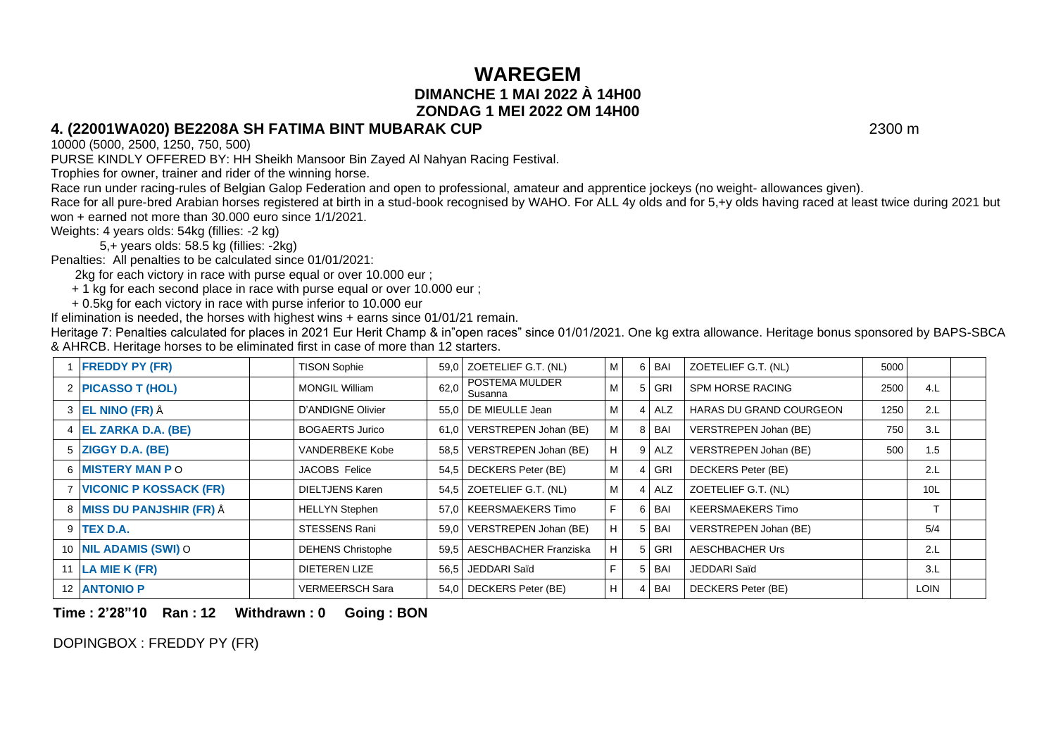## **WAREGEM DIMANCHE 1 MAI 2022 À 14H00 ZONDAG 1 MEI 2022 OM 14H00**

#### **4. (22001WA020) BE2208A SH FATIMA BINT MUBARAK CUP** 2300 m

10000 (5000, 2500, 1250, 750, 500)

PURSE KINDLY OFFERED BY: HH Sheikh Mansoor Bin Zayed Al Nahyan Racing Festival.

Trophies for owner, trainer and rider of the winning horse.

Race run under racing-rules of Belgian Galop Federation and open to professional, amateur and apprentice jockeys (no weight- allowances given).

Race for all pure-bred Arabian horses registered at birth in a stud-book recognised by WAHO. For ALL 4y olds and for 5,+y olds having raced at least twice during 2021 but won + earned not more than 30.000 euro since 1/1/2021.

Weights: 4 years olds: 54kg (fillies: -2 kg)

5,+ years olds: 58.5 kg (fillies: -2kg)

Penalties: All penalties to be calculated since 01/01/2021:

2kg for each victory in race with purse equal or over 10.000 eur ;

+ 1 kg for each second place in race with purse equal or over 10.000 eur ;

+ 0.5kg for each victory in race with purse inferior to 10.000 eur

If elimination is needed, the horses with highest wins + earns since 01/01/21 remain.

Heritage 7: Penalties calculated for places in 2021 Eur Herit Champ & in"open races" since 01/01/2021. One kg extra allowance. Heritage bonus sponsored by BAPS-SBCA & AHRCB. Heritage horses to be eliminated first in case of more than 12 starters.

| <b>FREDDY PY (FR)</b>         | <b>TISON Sophie</b>      |      | 59,0 ZOETELIEF G.T. (NL)     | M              |                | 6 BAI      | ZOETELIEF G.T. (NL)            | 5000 |                 |  |
|-------------------------------|--------------------------|------|------------------------------|----------------|----------------|------------|--------------------------------|------|-----------------|--|
| 2 PICASSO T (HOL)             | <b>MONGIL William</b>    | 62,0 | POSTEMA MULDER<br>Susanna    | M              |                | 5 GRI      | <b>SPM HORSE RACING</b>        | 2500 | 4.L             |  |
| 3 <b>EL NINO (FR)</b> Å       | D'ANDIGNE Olivier        |      | 55.0 DE MIEULLE Jean         | M              | $\vert$        | ALZ        | <b>HARAS DU GRAND COURGEON</b> | 1250 | 2.L             |  |
| 4 EL ZARKA D.A. (BE)          | <b>BOGAERTS Jurico</b>   |      | 61,0 VERSTREPEN Johan (BE)   | M <sub>1</sub> |                | 8 BAI      | VERSTREPEN Johan (BE)          | 750  | 3.L             |  |
| 5 ZIGGY D.A. (BE)             | <b>VANDERBEKE Kobe</b>   |      | 58,5   VERSTREPEN Johan (BE) | $H \mid$       |                | 9 ALZ      | VERSTREPEN Johan (BE)          | 500  | 1.5             |  |
| 6 MISTERY MAN PO              | <b>JACOBS</b> Felice     |      | 54,5 DECKERS Peter (BE)      | M              |                | 4 GRI      | DECKERS Peter (BE)             |      | 2.L             |  |
| <b>VICONIC P KOSSACK (FR)</b> | DIELTJENS Karen          |      | 54,5 ZOETELIEF G.T. (NL)     | M <sub>1</sub> |                | 4 ALZ      | ZOETELIEF G.T. (NL)            |      | 10 <sub>L</sub> |  |
| 8 MISS DU PANJSHIR (FR) Å     | <b>HELLYN Stephen</b>    |      | 57.0   KEERSMAEKERS Timo     | F.             | 6              | BAI        | <b>KEERSMAEKERS Timo</b>       |      | $\mathbf$       |  |
| 9 <b>TEX D.A.</b>             | STESSENS Rani            |      | 59.0 VERSTREPEN Johan (BE)   | $H \vert$      | 5 <sup>1</sup> | <b>BAI</b> | VERSTREPEN Johan (BE)          |      | 5/4             |  |
| 10 NIL ADAMIS (SWI) O         | <b>DEHENS Christophe</b> |      | 59.5   AESCHBACHER Franziska | H              |                | 5 GRI      | <b>AESCHBACHER Urs</b>         |      | 2.L             |  |
| 11   LA MIE K (FR)            | DIETEREN LIZE            |      | 56.5 JEDDARI Saïd            | F.             | 5 <sup>1</sup> | <b>BAI</b> | JEDDARI Saïd                   |      | 3.L             |  |
| 12 ANTONIO P                  | <b>VERMEERSCH Sara</b>   |      | 54,0 DECKERS Peter (BE)      | H <sup>1</sup> |                | 4 BAI      | DECKERS Peter (BE)             |      | <b>LOIN</b>     |  |

**Time : 2'28"10 Ran : 12 Withdrawn : 0 Going : BON**

DOPINGBOX : FREDDY PY (FR)